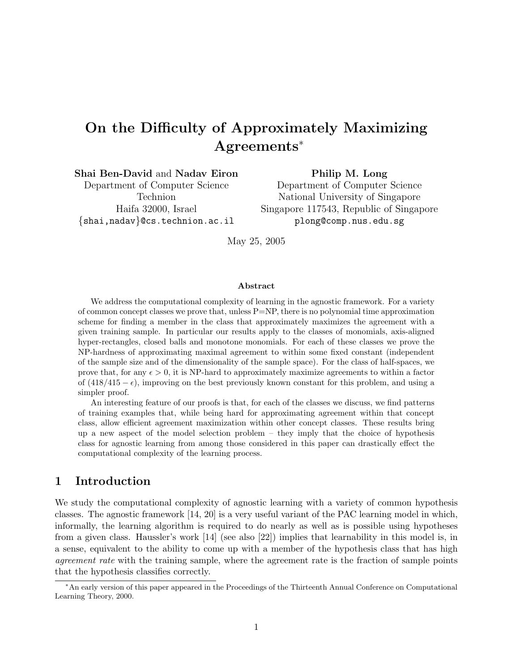# On the Difficulty of Approximately Maximizing Agreements<sup>∗</sup>

Shai Ben-David and Nadav Eiron

Department of Computer Science Technion Haifa 32000, Israel {shai,nadav}@cs.technion.ac.il

Philip M. Long Department of Computer Science National University of Singapore Singapore 117543, Republic of Singapore plong@comp.nus.edu.sg

May 25, 2005

#### Abstract

We address the computational complexity of learning in the agnostic framework. For a variety of common concept classes we prove that, unless P=NP, there is no polynomial time approximation scheme for finding a member in the class that approximately maximizes the agreement with a given training sample. In particular our results apply to the classes of monomials, axis-aligned hyper-rectangles, closed balls and monotone monomials. For each of these classes we prove the NP-hardness of approximating maximal agreement to within some fixed constant (independent of the sample size and of the dimensionality of the sample space). For the class of half-spaces, we prove that, for any  $\epsilon > 0$ , it is NP-hard to approximately maximize agreements to within a factor of  $(418/415 - \epsilon)$ , improving on the best previously known constant for this problem, and using a simpler proof.

An interesting feature of our proofs is that, for each of the classes we discuss, we find patterns of training examples that, while being hard for approximating agreement within that concept class, allow efficient agreement maximization within other concept classes. These results bring up a new aspect of the model selection problem – they imply that the choice of hypothesis class for agnostic learning from among those considered in this paper can drastically effect the computational complexity of the learning process.

# 1 Introduction

We study the computational complexity of agnostic learning with a variety of common hypothesis classes. The agnostic framework [14, 20] is a very useful variant of the PAC learning model in which, informally, the learning algorithm is required to do nearly as well as is possible using hypotheses from a given class. Haussler's work [14] (see also [22]) implies that learnability in this model is, in a sense, equivalent to the ability to come up with a member of the hypothesis class that has high *agreement rate* with the training sample, where the agreement rate is the fraction of sample points that the hypothesis classifies correctly.

<sup>∗</sup>An early version of this paper appeared in the Proceedings of the Thirteenth Annual Conference on Computational Learning Theory, 2000.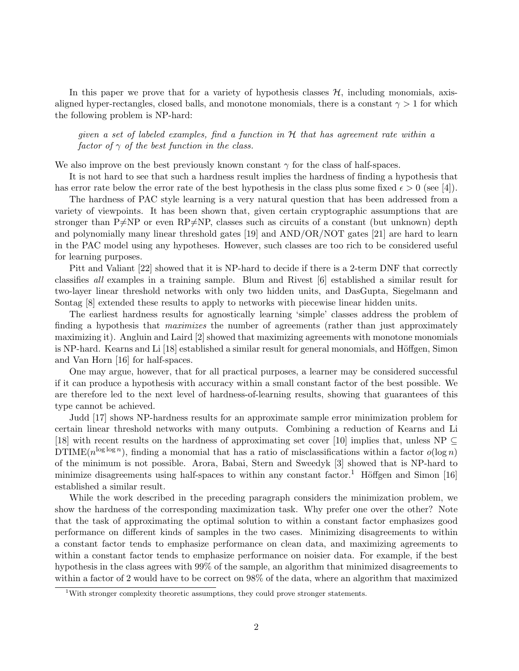In this paper we prove that for a variety of hypothesis classes  $H$ , including monomials, axisaligned hyper-rectangles, closed balls, and monotone monomials, there is a constant  $\gamma > 1$  for which the following problem is NP-hard:

given a set of labeled examples, find a function in  $H$  that has agreement rate within a factor of  $\gamma$  of the best function in the class.

We also improve on the best previously known constant  $\gamma$  for the class of half-spaces.

It is not hard to see that such a hardness result implies the hardness of finding a hypothesis that has error rate below the error rate of the best hypothesis in the class plus some fixed  $\epsilon > 0$  (see [4]).

The hardness of PAC style learning is a very natural question that has been addressed from a variety of viewpoints. It has been shown that, given certain cryptographic assumptions that are stronger than P $\neq$ NP or even RP $\neq$ NP, classes such as circuits of a constant (but unknown) depth and polynomially many linear threshold gates [19] and AND/OR/NOT gates [21] are hard to learn in the PAC model using any hypotheses. However, such classes are too rich to be considered useful for learning purposes.

Pitt and Valiant [22] showed that it is NP-hard to decide if there is a 2-term DNF that correctly classifies all examples in a training sample. Blum and Rivest [6] established a similar result for two-layer linear threshold networks with only two hidden units, and DasGupta, Siegelmann and Sontag [8] extended these results to apply to networks with piecewise linear hidden units.

The earliest hardness results for agnostically learning 'simple' classes address the problem of finding a hypothesis that *maximizes* the number of agreements (rather than just approximately maximizing it). Angluin and Laird [2] showed that maximizing agreements with monotone monomials is NP-hard. Kearns and Li [18] established a similar result for general monomials, and Höffgen, Simon and Van Horn [16] for half-spaces.

One may argue, however, that for all practical purposes, a learner may be considered successful if it can produce a hypothesis with accuracy within a small constant factor of the best possible. We are therefore led to the next level of hardness-of-learning results, showing that guarantees of this type cannot be achieved.

Judd [17] shows NP-hardness results for an approximate sample error minimization problem for certain linear threshold networks with many outputs. Combining a reduction of Kearns and Li [18] with recent results on the hardness of approximating set cover [10] implies that, unless NP  $\subseteq$ DTIME( $n^{\log \log n}$ ), finding a monomial that has a ratio of misclassifications within a factor  $o(\log n)$ of the minimum is not possible. Arora, Babai, Stern and Sweedyk [3] showed that is NP-hard to minimize disagreements using half-spaces to within any constant factor.<sup>1</sup> Höffgen and Simon [16] established a similar result.

While the work described in the preceding paragraph considers the minimization problem, we show the hardness of the corresponding maximization task. Why prefer one over the other? Note that the task of approximating the optimal solution to within a constant factor emphasizes good performance on different kinds of samples in the two cases. Minimizing disagreements to within a constant factor tends to emphasize performance on clean data, and maximizing agreements to within a constant factor tends to emphasize performance on noisier data. For example, if the best hypothesis in the class agrees with 99% of the sample, an algorithm that minimized disagreements to within a factor of 2 would have to be correct on 98% of the data, where an algorithm that maximized

<sup>&</sup>lt;sup>1</sup>With stronger complexity theoretic assumptions, they could prove stronger statements.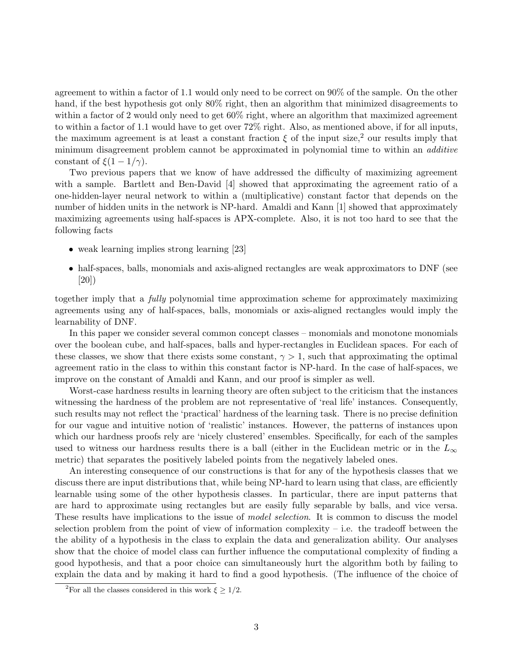agreement to within a factor of 1.1 would only need to be correct on 90% of the sample. On the other hand, if the best hypothesis got only 80% right, then an algorithm that minimized disagreements to within a factor of 2 would only need to get  $60\%$  right, where an algorithm that maximized agreement to within a factor of 1.1 would have to get over 72% right. Also, as mentioned above, if for all inputs, the maximum agreement is at least a constant fraction  $\xi$  of the input size,<sup>2</sup> our results imply that minimum disagreement problem cannot be approximated in polynomial time to within an *additive* constant of  $\xi(1-1/\gamma)$ .

Two previous papers that we know of have addressed the difficulty of maximizing agreement with a sample. Bartlett and Ben-David [4] showed that approximating the agreement ratio of a one-hidden-layer neural network to within a (multiplicative) constant factor that depends on the number of hidden units in the network is NP-hard. Amaldi and Kann [1] showed that approximately maximizing agreements using half-spaces is APX-complete. Also, it is not too hard to see that the following facts

- weak learning implies strong learning [23]
- half-spaces, balls, monomials and axis-aligned rectangles are weak approximators to DNF (see [20])

together imply that a fully polynomial time approximation scheme for approximately maximizing agreements using any of half-spaces, balls, monomials or axis-aligned rectangles would imply the learnability of DNF.

In this paper we consider several common concept classes – monomials and monotone monomials over the boolean cube, and half-spaces, balls and hyper-rectangles in Euclidean spaces. For each of these classes, we show that there exists some constant,  $\gamma > 1$ , such that approximating the optimal agreement ratio in the class to within this constant factor is NP-hard. In the case of half-spaces, we improve on the constant of Amaldi and Kann, and our proof is simpler as well.

Worst-case hardness results in learning theory are often subject to the criticism that the instances witnessing the hardness of the problem are not representative of 'real life' instances. Consequently, such results may not reflect the 'practical' hardness of the learning task. There is no precise definition for our vague and intuitive notion of 'realistic' instances. However, the patterns of instances upon which our hardness proofs rely are 'nicely clustered' ensembles. Specifically, for each of the samples used to witness our hardness results there is a ball (either in the Euclidean metric or in the  $L_{\infty}$ metric) that separates the positively labeled points from the negatively labeled ones.

An interesting consequence of our constructions is that for any of the hypothesis classes that we discuss there are input distributions that, while being NP-hard to learn using that class, are efficiently learnable using some of the other hypothesis classes. In particular, there are input patterns that are hard to approximate using rectangles but are easily fully separable by balls, and vice versa. These results have implications to the issue of *model selection*. It is common to discuss the model selection problem from the point of view of information complexity  $-$  i.e. the tradeoff between the the ability of a hypothesis in the class to explain the data and generalization ability. Our analyses show that the choice of model class can further influence the computational complexity of finding a good hypothesis, and that a poor choice can simultaneously hurt the algorithm both by failing to explain the data and by making it hard to find a good hypothesis. (The influence of the choice of

<sup>&</sup>lt;sup>2</sup>For all the classes considered in this work  $\xi \geq 1/2$ .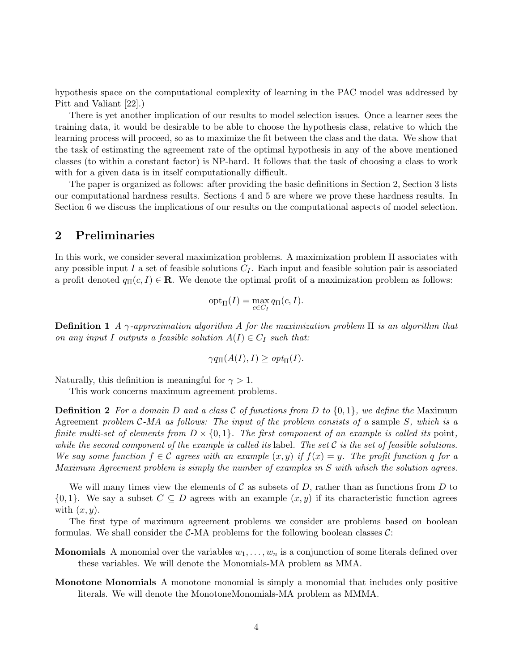hypothesis space on the computational complexity of learning in the PAC model was addressed by Pitt and Valiant [22].)

There is yet another implication of our results to model selection issues. Once a learner sees the training data, it would be desirable to be able to choose the hypothesis class, relative to which the learning process will proceed, so as to maximize the fit between the class and the data. We show that the task of estimating the agreement rate of the optimal hypothesis in any of the above mentioned classes (to within a constant factor) is NP-hard. It follows that the task of choosing a class to work with for a given data is in itself computationally difficult.

The paper is organized as follows: after providing the basic definitions in Section 2, Section 3 lists our computational hardness results. Sections 4 and 5 are where we prove these hardness results. In Section 6 we discuss the implications of our results on the computational aspects of model selection.

### 2 Preliminaries

In this work, we consider several maximization problems. A maximization problem Π associates with any possible input I a set of feasible solutions  $C_I$ . Each input and feasible solution pair is associated a profit denoted  $q_{\Pi}(c, I) \in \mathbf{R}$ . We denote the optimal profit of a maximization problem as follows:

$$
\operatorname{opt}_{\Pi}(I) = \max_{c \in C_I} q_{\Pi}(c, I).
$$

**Definition 1** A  $\gamma$ -approximation algorithm A for the maximization problem  $\Pi$  is an algorithm that on any input I outputs a feasible solution  $A(I) \in C_I$  such that:

$$
\gamma q_{\Pi}(A(I), I) \geq opt_{\Pi}(I).
$$

Naturally, this definition is meaningful for  $\gamma > 1$ .

This work concerns maximum agreement problems.

**Definition 2** For a domain D and a class C of functions from D to  $\{0,1\}$ , we define the Maximum Agreement problem  $C-MA$  as follows: The input of the problem consists of a sample S, which is a finite multi-set of elements from  $D \times \{0,1\}$ . The first component of an example is called its point, while the second component of the example is called its label. The set  $\mathcal C$  is the set of feasible solutions. We say some function  $f \in \mathcal{C}$  agrees with an example  $(x, y)$  if  $f(x) = y$ . The profit function q for a Maximum Agreement problem is simply the number of examples in S with which the solution agrees.

We will many times view the elements of C as subsets of D, rather than as functions from D to  $\{0,1\}$ . We say a subset  $C \subseteq D$  agrees with an example  $(x, y)$  if its characteristic function agrees with  $(x, y)$ .

The first type of maximum agreement problems we consider are problems based on boolean formulas. We shall consider the  $C$ -MA problems for the following boolean classes  $C$ :

- **Monomials** A monomial over the variables  $w_1, \ldots, w_n$  is a conjunction of some literals defined over these variables. We will denote the Monomials-MA problem as MMA.
- Monotone Monomials A monotone monomial is simply a monomial that includes only positive literals. We will denote the MonotoneMonomials-MA problem as MMMA.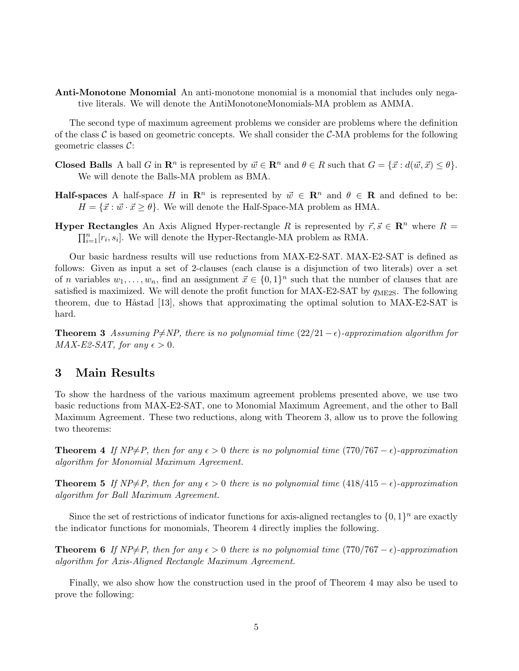Anti-Monotone Monomial An anti-monotone monomial is a monomial that includes only negative literals. We will denote the AntiMonotoneMonomials-MA problem as AMMA.

The second type of maximum agreement problems we consider are problems where the definition of the class  $\mathcal C$  is based on geometric concepts. We shall consider the  $\mathcal C$ -MA problems for the following geometric classes  $C$ :

- **Closed Balls** A ball G in  $\mathbb{R}^n$  is represented by  $\vec{w} \in \mathbb{R}^n$  and  $\theta \in R$  such that  $G = {\vec{x} : d(\vec{w}, \vec{x}) \leq \theta}$ . We will denote the Balls-MA problem as BMA.
- **Half-spaces** A half-space H in  $\mathbb{R}^n$  is represented by  $\vec{w} \in \mathbb{R}^n$  and  $\theta \in \mathbb{R}$  and defined to be:  $H = \{\vec{x} : \vec{w} \cdot \vec{x} \geq \theta\}$ . We will denote the Half-Space-MA problem as HMA.
- **Hyper Rectangles** An Axis Aligned Hyper-rectangle R is represented by  $\vec{r}, \vec{s} \in \mathbb{R}^n$  where  $R =$  $_{i=1}^{n}[r_i,s_i]$ . We will denote the Hyper-Rectangle-MA problem as RMA.

Our basic hardness results will use reductions from MAX-E2-SAT. MAX-E2-SAT is defined as follows: Given as input a set of 2-clauses (each clause is a disjunction of two literals) over a set of *n* variables  $w_1, \ldots, w_n$ , find an assignment  $\vec{x} \in \{0, 1\}^n$  such that the number of clauses that are satisfied is maximized. We will denote the profit function for MAX-E2-SAT by  $q_{\text{ME2S}}$ . The following theorem, due to Håstad [13], shows that approximating the optimal solution to MAX-E2-SAT is hard.

**Theorem 3** Assuming P $\neq$ NP, there is no polynomial time (22/21 –  $\epsilon$ )-approximation algorithm for  $MAX$ -E2-SAT, for any  $\epsilon > 0$ .

### 3 Main Results

To show the hardness of the various maximum agreement problems presented above, we use two basic reductions from MAX-E2-SAT, one to Monomial Maximum Agreement, and the other to Ball Maximum Agreement. These two reductions, along with Theorem 3, allow us to prove the following two theorems:

**Theorem 4** If  $NP \neq P$ , then for any  $\epsilon > 0$  there is no polynomial time (770/767 –  $\epsilon$ )-approximation algorithm for Monomial Maximum Agreement.

**Theorem 5** If  $NP \neq P$ , then for any  $\epsilon > 0$  there is no polynomial time (418/415 –  $\epsilon$ )-approximation algorithm for Ball Maximum Agreement.

Since the set of restrictions of indicator functions for axis-aligned rectangles to  $\{0,1\}^n$  are exactly the indicator functions for monomials, Theorem 4 directly implies the following.

**Theorem 6** If  $NP \neq P$ , then for any  $\epsilon > 0$  there is no polynomial time (770/767 –  $\epsilon$ )-approximation algorithm for Axis-Aligned Rectangle Maximum Agreement.

Finally, we also show how the construction used in the proof of Theorem 4 may also be used to prove the following: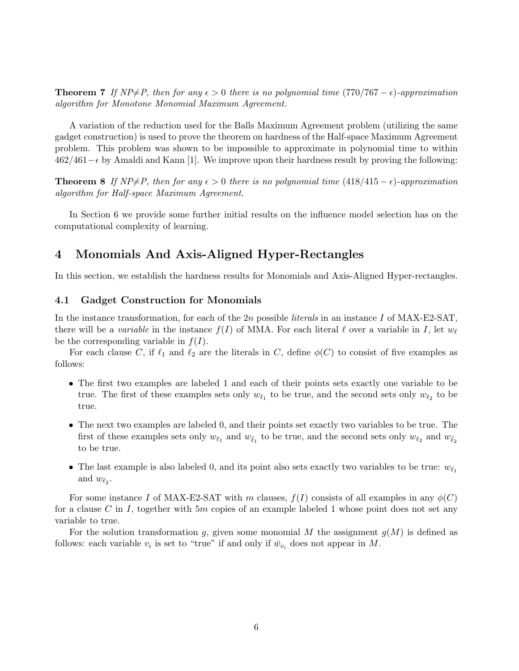**Theorem 7** If  $NP \neq P$ , then for any  $\epsilon > 0$  there is no polynomial time (770/767 –  $\epsilon$ )-approximation algorithm for Monotone Monomial Maximum Agreement.

A variation of the reduction used for the Balls Maximum Agreement problem (utilizing the same gadget construction) is used to prove the theorem on hardness of the Half-space Maximum Agreement problem. This problem was shown to be impossible to approximate in polynomial time to within 462/461−² by Amaldi and Kann [1]. We improve upon their hardness result by proving the following:

**Theorem 8** If  $NP \neq P$ , then for any  $\epsilon > 0$  there is no polynomial time  $(418/415 - \epsilon)$ -approximation algorithm for Half-space Maximum Agreement.

In Section 6 we provide some further initial results on the influence model selection has on the computational complexity of learning.

# 4 Monomials And Axis-Aligned Hyper-Rectangles

In this section, we establish the hardness results for Monomials and Axis-Aligned Hyper-rectangles.

### 4.1 Gadget Construction for Monomials

In the instance transformation, for each of the  $2n$  possible *literals* in an instance I of MAX-E2-SAT. there will be a variable in the instance  $f(I)$  of MMA. For each literal  $\ell$  over a variable in I, let  $w_{\ell}$ be the corresponding variable in  $f(I)$ .

For each clause C, if  $\ell_1$  and  $\ell_2$  are the literals in C, define  $\phi(C)$  to consist of five examples as follows:

- The first two examples are labeled 1 and each of their points sets exactly one variable to be true. The first of these examples sets only  $w_{\ell_1}$  to be true, and the second sets only  $w_{\ell_2}$  to be true.
- The next two examples are labeled 0, and their points set exactly two variables to be true. The first of these examples sets only  $w_{\ell_1}$  and  $w_{\bar{\ell}_1}$  to be true, and the second sets only  $w_{\ell_2}$  and  $w_{\bar{\ell}_2}$ to be true.
- The last example is also labeled 0, and its point also sets exactly two variables to be true:  $w_{\ell_1}$ and  $w_{\ell_2}$ .

For some instance I of MAX-E2-SAT with m clauses,  $f(I)$  consists of all examples in any  $\phi(C)$ for a clause C in I, together with  $5m$  copies of an example labeled 1 whose point does not set any variable to true.

For the solution transformation g, given some monomial M the assignment  $g(M)$  is defined as follows: each variable  $v_i$  is set to "true" if and only if  $\bar{w}_{v_i}$  does not appear in M.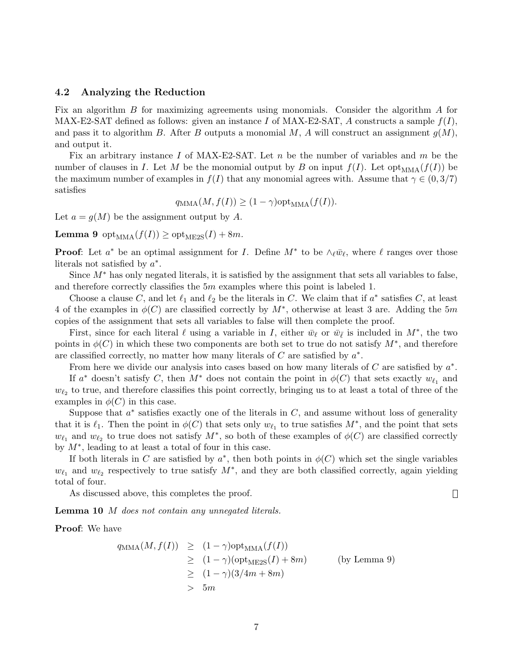#### 4.2 Analyzing the Reduction

Fix an algorithm B for maximizing agreements using monomials. Consider the algorithm A for MAX-E2-SAT defined as follows: given an instance I of MAX-E2-SAT, A constructs a sample  $f(I)$ , and pass it to algorithm B. After B outputs a monomial M, A will construct an assignment  $g(M)$ , and output it.

Fix an arbitrary instance I of MAX-E2-SAT. Let  $n$  be the number of variables and  $m$  be the number of clauses in I. Let M be the monomial output by B on input  $f(I)$ . Let  $opt_{MMA}(f(I))$  be the maximum number of examples in  $f(I)$  that any monomial agrees with. Assume that  $\gamma \in (0, 3/7)$ satisfies

$$
q_{\text{MMA}}(M, f(I)) \ge (1 - \gamma) \text{opt}_{\text{MMA}}(f(I)).
$$

Let  $a = g(M)$  be the assignment output by A.

**Lemma 9** opt<sub>MMA</sub> $(f(I)) \geq$  opt<sub>ME2S</sub> $(I) + 8m$ .

**Proof:** Let  $a^*$  be an optimal assignment for *I*. Define  $M^*$  to be  $\wedge_{\ell} \bar{w}_{\ell}$ , where  $\ell$  ranges over those literals not satisfied by  $a^*$ .

Since  $M^*$  has only negated literals, it is satisfied by the assignment that sets all variables to false, and therefore correctly classifies the 5m examples where this point is labeled 1.

Choose a clause C, and let  $\ell_1$  and  $\ell_2$  be the literals in C. We claim that if  $a^*$  satisfies C, at least 4 of the examples in  $\phi(C)$  are classified correctly by  $M^*$ , otherwise at least 3 are. Adding the 5m copies of the assignment that sets all variables to false will then complete the proof.

First, since for each literal  $\ell$  using a variable in I, either  $\bar{w}_{\ell}$  or  $\bar{w}_{\bar{\ell}}$  is included in  $M^*$ , the two points in  $\phi$ (C) in which these two components are both set to true do not satisfy  $M^*$ , and therefore are classified correctly, no matter how many literals of  $C$  are satisfied by  $a^*$ .

From here we divide our analysis into cases based on how many literals of  $C$  are satisfied by  $a^*$ .

If  $a^*$  doesn't satisfy C, then  $M^*$  does not contain the point in  $\phi(C)$  that sets exactly  $w_{\ell_1}$  and  $w_{\ell_2}$  to true, and therefore classifies this point correctly, bringing us to at least a total of three of the examples in  $\phi(C)$  in this case.

Suppose that  $a^*$  satisfies exactly one of the literals in  $C$ , and assume without loss of generality that it is  $\ell_1$ . Then the point in  $\phi(C)$  that sets only  $w_{\ell_1}$  to true satisfies  $M^*$ , and the point that sets  $w_{\ell_1}$  and  $w_{\ell_2}$  to true does not satisfy  $M^*$ , so both of these examples of  $\phi(C)$  are classified correctly by  $M^*$ , leading to at least a total of four in this case.

If both literals in C are satisfied by  $a^*$ , then both points in  $\phi(C)$  which set the single variables  $w_{\ell_1}$  and  $w_{\ell_2}$  respectively to true satisfy  $M^*$ , and they are both classified correctly, again yielding total of four.

As discussed above, this completes the proof.

Lemma 10 M does not contain any unnegated literals.

Proof: We have

$$
q_{\text{MMA}}(M, f(I)) \geq (1 - \gamma) \text{opt}_{\text{MMA}}(f(I))
$$
  
\n
$$
\geq (1 - \gamma) (\text{opt}_{\text{ME2S}}(I) + 8m)
$$
 (by Lemma 9)  
\n
$$
\geq (1 - \gamma) (3/4m + 8m)
$$
  
\n
$$
> 5m
$$

 $\Box$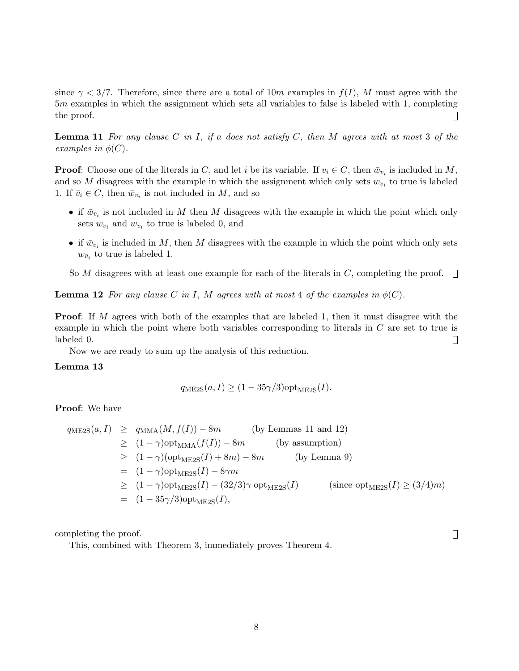since  $\gamma < 3/7$ . Therefore, since there are a total of 10m examples in  $f(I)$ , M must agree with the 5m examples in which the assignment which sets all variables to false is labeled with 1, completing the proof.  $\Box$ 

**Lemma 11** For any clause C in I, if a does not satisfy C, then M agrees with at most 3 of the examples in  $\phi(C)$ .

**Proof:** Choose one of the literals in C, and let i be its variable. If  $v_i \in C$ , then  $\bar{w}_{v_i}$  is included in M, and so M disagrees with the example in which the assignment which only sets  $w_{v_i}$  to true is labeled 1. If  $\bar{v}_i \in C$ , then  $\bar{w}_{v_i}$  is not included in M, and so

- if  $\bar{w}_{\bar{v}_i}$  is not included in M then M disagrees with the example in which the point which only sets  $w_{v_i}$  and  $w_{\bar{v}_i}$  to true is labeled 0, and
- if  $\bar{w}_{\bar{v}_i}$  is included in M, then M disagrees with the example in which the point which only sets  $w_{\bar{v}_i}$  to true is labeled 1.

So M disagrees with at least one example for each of the literals in C, completing the proof.  $\Box$ 

**Lemma 12** For any clause C in I, M agrees with at most 4 of the examples in  $\phi(C)$ .

**Proof:** If M agrees with both of the examples that are labeled 1, then it must disagree with the example in which the point where both variables corresponding to literals in C are set to true is labeled 0.  $\Box$ 

Now we are ready to sum up the analysis of this reduction.

### Lemma 13

$$
q_{\text{ME2S}}(a,I) \ge (1 - 35\gamma/3) \text{opt}_{\text{ME2S}}(I).
$$

Proof: We have

$$
q_{\text{ME2S}}(a, I) \ge q_{\text{MMA}}(M, f(I)) - 8m \qquad \text{(by Lemmas 11 and 12)}
$$
  
\n
$$
\ge (1 - \gamma) \text{opt}_{\text{MMA}}(f(I)) - 8m \qquad \text{(by assumption)}
$$
  
\n
$$
\ge (1 - \gamma) (\text{opt}_{\text{ME2S}}(I) + 8m) - 8m \qquad \text{(by Lemma 9)}
$$
  
\n
$$
= (1 - \gamma) \text{opt}_{\text{ME2S}}(I) - 8\gamma m
$$
  
\n
$$
\ge (1 - \gamma) \text{opt}_{\text{ME2S}}(I) - (32/3)\gamma \text{ opt}_{\text{ME2S}}(I) \qquad \text{(since opt}_{\text{ME2S}}(I) \ge (3/4)m)
$$
  
\n
$$
= (1 - 35\gamma/3) \text{opt}_{\text{ME2S}}(I),
$$

 $\Box$ 

completing the proof.

This, combined with Theorem 3, immediately proves Theorem 4.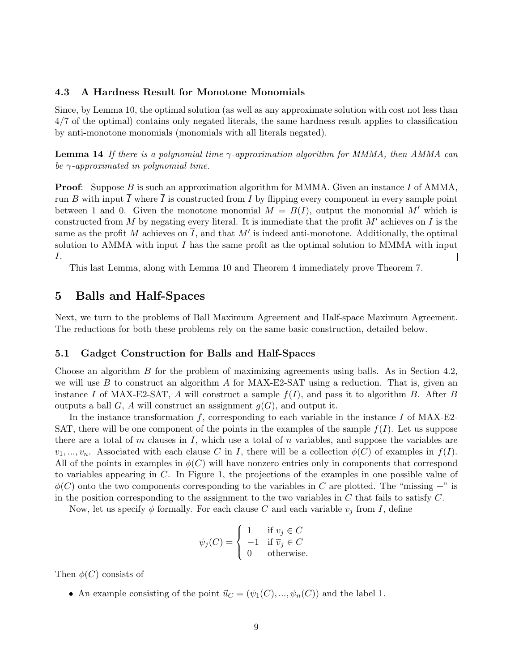#### 4.3 A Hardness Result for Monotone Monomials

Since, by Lemma 10, the optimal solution (as well as any approximate solution with cost not less than 4/7 of the optimal) contains only negated literals, the same hardness result applies to classification by anti-monotone monomials (monomials with all literals negated).

**Lemma 14** If there is a polynomial time  $\gamma$ -approximation algorithm for MMMA, then AMMA can be  $\gamma$ -approximated in polynomial time.

**Proof:** Suppose B is such an approximation algorithm for MMMA. Given an instance I of AMMA, run B with input  $\overline{I}$  where  $\overline{I}$  is constructed from I by flipping every component in every sample point between 1 and 0. Given the monotone monomial  $M = B(\overline{I})$ , output the monomial M' which is constructed from M by negating every literal. It is immediate that the profit  $M'$  achieves on I is the same as the profit M achieves on  $\overline{I}$ , and that M' is indeed anti-monotone. Additionally, the optimal solution to AMMA with input  $I$  has the same profit as the optimal solution to MMMA with input I.  $\Box$ 

This last Lemma, along with Lemma 10 and Theorem 4 immediately prove Theorem 7.

### 5 Balls and Half-Spaces

Next, we turn to the problems of Ball Maximum Agreement and Half-space Maximum Agreement. The reductions for both these problems rely on the same basic construction, detailed below.

### 5.1 Gadget Construction for Balls and Half-Spaces

Choose an algorithm B for the problem of maximizing agreements using balls. As in Section 4.2, we will use B to construct an algorithm A for MAX-E2-SAT using a reduction. That is, given an instance I of MAX-E2-SAT, A will construct a sample  $f(I)$ , and pass it to algorithm B. After B outputs a ball G, A will construct an assignment  $q(G)$ , and output it.

In the instance transformation  $f$ , corresponding to each variable in the instance  $I$  of MAX-E2-SAT, there will be one component of the points in the examples of the sample  $f(I)$ . Let us suppose there are a total of m clauses in I, which use a total of n variables, and suppose the variables are  $v_1, ..., v_n$ . Associated with each clause C in I, there will be a collection  $\phi(C)$  of examples in  $f(I)$ . All of the points in examples in  $\phi(C)$  will have nonzero entries only in components that correspond to variables appearing in C. In Figure 1, the projections of the examples in one possible value of  $\phi(C)$  onto the two components corresponding to the variables in C are plotted. The "missing +" is in the position corresponding to the assignment to the two variables in  $C$  that fails to satisfy  $C$ .

Now, let us specify  $\phi$  formally. For each clause C and each variable  $v_j$  from I, define

$$
\psi_j(C) = \begin{cases} 1 & \text{if } v_j \in C \\ -1 & \text{if } \overline{v}_j \in C \\ 0 & \text{otherwise.} \end{cases}
$$

Then  $\phi(C)$  consists of

• An example consisting of the point  $\vec{u}_C = (\psi_1(C), ..., \psi_n(C))$  and the label 1.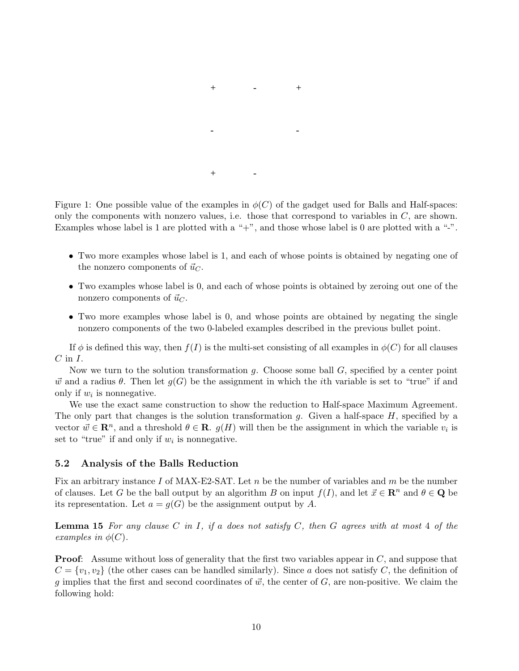

Figure 1: One possible value of the examples in  $\phi(C)$  of the gadget used for Balls and Half-spaces: only the components with nonzero values, i.e. those that correspond to variables in  $C$ , are shown. Examples whose label is 1 are plotted with a "+", and those whose label is 0 are plotted with a "-".

- Two more examples whose label is 1, and each of whose points is obtained by negating one of the nonzero components of  $\vec{u}_C$ .
- Two examples whose label is 0, and each of whose points is obtained by zeroing out one of the nonzero components of  $\vec{u}_C$ .
- Two more examples whose label is 0, and whose points are obtained by negating the single nonzero components of the two 0-labeled examples described in the previous bullet point.

If  $\phi$  is defined this way, then  $f(I)$  is the multi-set consisting of all examples in  $\phi(C)$  for all clauses  $C$  in  $I$ .

Now we turn to the solution transformation  $q$ . Choose some ball  $G$ , specified by a center point  $\vec{w}$  and a radius  $\theta$ . Then let  $q(G)$  be the assignment in which the *i*th variable is set to "true" if and only if  $w_i$  is nonnegative.

We use the exact same construction to show the reduction to Half-space Maximum Agreement. The only part that changes is the solution transformation  $g$ . Given a half-space  $H$ , specified by a vector  $\vec{w} \in \mathbb{R}^n$ , and a threshold  $\theta \in \mathbb{R}$ .  $g(H)$  will then be the assignment in which the variable  $v_i$  is set to "true" if and only if  $w_i$  is nonnegative.

### 5.2 Analysis of the Balls Reduction

Fix an arbitrary instance I of MAX-E2-SAT. Let  $n$  be the number of variables and  $m$  be the number of clauses. Let G be the ball output by an algorithm B on input  $f(I)$ , and let  $\vec{x} \in \mathbb{R}^n$  and  $\theta \in \mathbb{Q}$  be its representation. Let  $a = g(G)$  be the assignment output by A.

**Lemma 15** For any clause C in I, if a does not satisfy C, then G agrees with at most 4 of the examples in  $\phi(C)$ .

**Proof:** Assume without loss of generality that the first two variables appear in C, and suppose that  $C = \{v_1, v_2\}$  (the other cases can be handled similarly). Since a does not satisfy C, the definition of g implies that the first and second coordinates of  $\vec{w}$ , the center of G, are non-positive. We claim the following hold: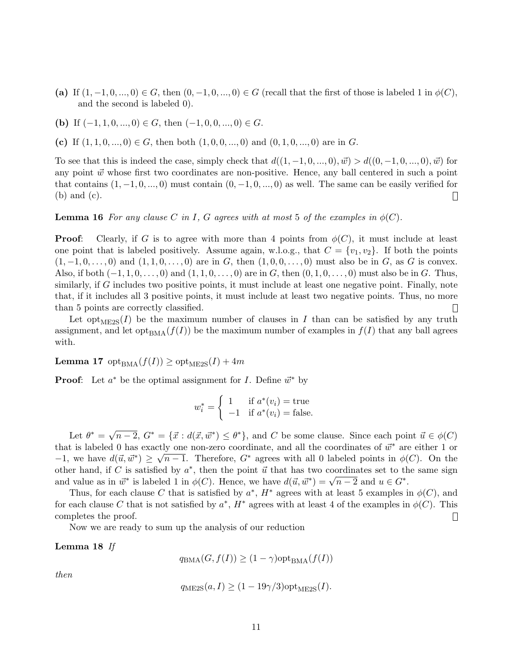- (a) If  $(1, -1, 0, ..., 0) \in G$ , then  $(0, -1, 0, ..., 0) \in G$  (recall that the first of those is labeled 1 in  $\phi(C)$ , and the second is labeled 0).
- (b) If  $(-1, 1, 0, ..., 0) \in G$ , then  $(-1, 0, 0, ..., 0) \in G$ .
- (c) If  $(1, 1, 0, ..., 0) \in G$ , then both  $(1, 0, 0, ..., 0)$  and  $(0, 1, 0, ..., 0)$  are in G.

To see that this is indeed the case, simply check that  $d((1, -1, 0, ..., 0), \vec{w}) > d((0, -1, 0, ..., 0), \vec{w})$  for any point  $\vec{w}$  whose first two coordinates are non-positive. Hence, any ball centered in such a point that contains  $(1, -1, 0, \ldots, 0)$  must contain  $(0, -1, 0, \ldots, 0)$  as well. The same can be easily verified for (b) and (c).  $\Box$ 

**Lemma 16** For any clause C in I, G agrees with at most 5 of the examples in  $\phi(C)$ .

**Proof:** Clearly, if G is to agree with more than 4 points from  $\phi(C)$ , it must include at least one point that is labeled positively. Assume again, w.l.o.g., that  $C = \{v_1, v_2\}$ . If both the points  $(1, -1, 0, \ldots, 0)$  and  $(1, 1, 0, \ldots, 0)$  are in G, then  $(1, 0, 0, \ldots, 0)$  must also be in G, as G is convex. Also, if both  $(-1, 1, 0, \ldots, 0)$  and  $(1, 1, 0, \ldots, 0)$  are in G, then  $(0, 1, 0, \ldots, 0)$  must also be in G. Thus, similarly, if G includes two positive points, it must include at least one negative point. Finally, note that, if it includes all 3 positive points, it must include at least two negative points. Thus, no more than 5 points are correctly classified. П

Let opt<sub>ME2S</sub>(I) be the maximum number of clauses in I than can be satisfied by any truth assignment, and let opt<sub>BMA</sub> $(f(I))$  be the maximum number of examples in  $f(I)$  that any ball agrees with.

**Lemma 17** opt<sub>BMA</sub> $(f(I)) \geq$  opt<sub>ME2S</sub> $(I) + 4m$ 

**Proof:** Let  $a^*$  be the optimal assignment for *I*. Define  $\vec{w}^*$  by

$$
w_i^* = \begin{cases} 1 & \text{if } a^*(v_i) = \text{true} \\ -1 & \text{if } a^*(v_i) = \text{false.} \end{cases}
$$

Let  $\theta^* = \sqrt{n-2}$ ,  $G^* = {\vec{x} : d(\vec{x}, \vec{w}^*) \leq \theta^*}$ , and C be some clause. Since each point  $\vec{u} \in \phi(C)$ that is labeled 0 has exactly one non-zero coordinate, and all the coordinates of  $\vec{w}^*$  are either 1 or  $-1$ , we have  $d(\vec{u}, \vec{w}^*) \ge \sqrt{n-1}$ . Therefore,  $G^*$  agrees with all 0 labeled points in  $\phi(C)$ . On the other hand, if C is satisfied by  $a^*$ , then the point  $\vec{u}$  that has two coordinates set to the same sign other hand, if C is satisfied by u, then the point u that has two coordinates set to the and value as in  $\vec{w}^*$  is labeled 1 in  $\phi(C)$ . Hence, we have  $d(\vec{u}, \vec{w}^*) = \sqrt{n-2}$  and  $u \in G^*$ .

Thus, for each clause C that is satisfied by  $a^*$ ,  $H^*$  agrees with at least 5 examples in  $\phi(C)$ , and for each clause C that is not satisfied by  $a^*$ ,  $H^*$  agrees with at least 4 of the examples in  $\phi(C)$ . This completes the proof.  $\Box$ 

Now we are ready to sum up the analysis of our reduction

Lemma 18 If

 $q_{\text{BMA}}(G, f(I)) \geq (1 - \gamma) \text{opt}_{\text{BMA}}(f(I))$ 

then

$$
q_{\text{ME2S}}(a, I) \ge (1 - 19\gamma/3) \text{opt}_{\text{ME2S}}(I).
$$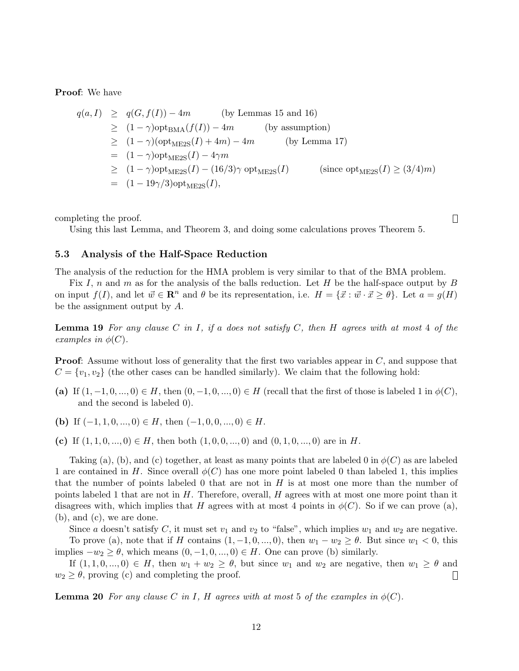Proof: We have

$$
q(a, I) \geq q(G, f(I)) - 4m
$$
 (by Lemmas 15 and 16)  
\n
$$
\geq (1 - \gamma) \text{opt}_{\text{BMA}}(f(I)) - 4m
$$
 (by assumption)  
\n
$$
\geq (1 - \gamma) (\text{opt}_{\text{ME2S}}(I) + 4m) - 4m
$$
 (by Lemma 17)  
\n
$$
= (1 - \gamma) \text{opt}_{\text{ME2S}}(I) - 4\gamma m
$$
  
\n
$$
\geq (1 - \gamma) \text{opt}_{\text{ME2S}}(I) - (16/3)\gamma \text{ opt}_{\text{ME2S}}(I)
$$
 (since opt<sub>ME2S</sub>(I)  $\geq (3/4)m$ )  
\n
$$
= (1 - 19\gamma/3) \text{opt}_{\text{ME2S}}(I),
$$

completing the proof.

Using this last Lemma, and Theorem 3, and doing some calculations proves Theorem 5.

 $\Box$ 

### 5.3 Analysis of the Half-Space Reduction

The analysis of the reduction for the HMA problem is very similar to that of the BMA problem.

Fix I, n and m as for the analysis of the balls reduction. Let H be the half-space output by B on input  $f(I)$ , and let  $\vec{w} \in \mathbb{R}^n$  and  $\theta$  be its representation, i.e.  $H = {\vec{x} : \vec{w} \cdot \vec{x} \geq \theta}$ . Let  $a = g(H)$ be the assignment output by A.

**Lemma 19** For any clause C in I, if a does not satisfy C, then H agrees with at most 4 of the examples in  $\phi(C)$ .

**Proof:** Assume without loss of generality that the first two variables appear in C, and suppose that  $C = \{v_1, v_2\}$  (the other cases can be handled similarly). We claim that the following hold:

(a) If  $(1, -1, 0, ..., 0) \in H$ , then  $(0, -1, 0, ..., 0) \in H$  (recall that the first of those is labeled 1 in  $\phi(C)$ , and the second is labeled 0).

(b) If  $(-1, 1, 0, ..., 0) \in H$ , then  $(-1, 0, 0, ..., 0) \in H$ .

(c) If  $(1, 1, 0, \ldots, 0) \in H$ , then both  $(1, 0, 0, \ldots, 0)$  and  $(0, 1, 0, \ldots, 0)$  are in H.

Taking (a), (b), and (c) together, at least as many points that are labeled 0 in  $\phi(C)$  as are labeled 1 are contained in H. Since overall  $\phi(C)$  has one more point labeled 0 than labeled 1, this implies that the number of points labeled 0 that are not in  $H$  is at most one more than the number of points labeled 1 that are not in  $H$ . Therefore, overall,  $H$  agrees with at most one more point than it disagrees with, which implies that H agrees with at most 4 points in  $\phi(C)$ . So if we can prove (a), (b), and (c), we are done.

Since a doesn't satisfy C, it must set  $v_1$  and  $v_2$  to "false", which implies  $w_1$  and  $w_2$  are negative. To prove (a), note that if H contains  $(1, -1, 0, ..., 0)$ , then  $w_1 - w_2 \ge \theta$ . But since  $w_1 < 0$ , this implies  $-w_2 \ge \theta$ , which means  $(0, -1, 0, ..., 0) \in H$ . One can prove (b) similarly.

If  $(1, 1, 0, \ldots, 0) \in H$ , then  $w_1 + w_2 \ge \theta$ , but since  $w_1$  and  $w_2$  are negative, then  $w_1 \ge \theta$  and  $w_2 \geq \theta$ , proving (c) and completing the proof.  $\Box$ 

**Lemma 20** For any clause C in I, H agrees with at most 5 of the examples in  $\phi(C)$ .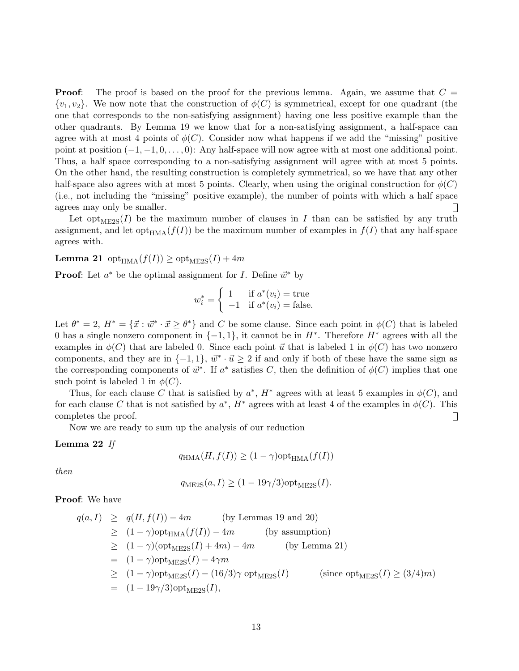**Proof:** The proof is based on the proof for the previous lemma. Again, we assume that  $C =$  $\{v_1, v_2\}$ . We now note that the construction of  $\phi(C)$  is symmetrical, except for one quadrant (the one that corresponds to the non-satisfying assignment) having one less positive example than the other quadrants. By Lemma 19 we know that for a non-satisfying assignment, a half-space can agree with at most 4 points of  $\phi(C)$ . Consider now what happens if we add the "missing" positive point at position  $(-1, -1, 0, \ldots, 0)$ : Any half-space will now agree with at most one additional point. Thus, a half space corresponding to a non-satisfying assignment will agree with at most 5 points. On the other hand, the resulting construction is completely symmetrical, so we have that any other half-space also agrees with at most 5 points. Clearly, when using the original construction for  $\phi(C)$ (i.e., not including the "missing" positive example), the number of points with which a half space agrees may only be smaller.  $\Box$ 

Let opt<sub>ME2S</sub>(*I*) be the maximum number of clauses in *I* than can be satisfied by any truth assignment, and let opt<sub>HMA</sub> $(f(I))$  be the maximum number of examples in  $f(I)$  that any half-space agrees with.

**Lemma 21** opt<sub>HMA</sub> $(f(I)) \geq$  opt<sub>ME2S</sub> $(I) + 4m$ 

**Proof:** Let  $a^*$  be the optimal assignment for *I*. Define  $\vec{w}^*$  by

$$
w_i^* = \begin{cases} 1 & \text{if } a^*(v_i) = \text{true} \\ -1 & \text{if } a^*(v_i) = \text{false.} \end{cases}
$$

Let  $\theta^* = 2$ ,  $H^* = {\vec{x} : \vec{w}^* \cdot \vec{x} \ge \theta^*}$  and C be some clause. Since each point in  $\phi(C)$  that is labeled 0 has a single nonzero component in  $\{-1,1\}$ , it cannot be in  $H^*$ . Therefore  $H^*$  agrees with all the examples in  $\phi(C)$  that are labeled 0. Since each point  $\vec{u}$  that is labeled 1 in  $\phi(C)$  has two nonzero components, and they are in  $\{-1, 1\}$ ,  $\vec{w}^* \cdot \vec{u} \geq 2$  if and only if both of these have the same sign as the corresponding components of  $\vec{w}^*$ . If  $a^*$  satisfies C, then the definition of  $\phi(C)$  implies that one such point is labeled 1 in  $\phi(C)$ .

Thus, for each clause C that is satisfied by  $a^*$ ,  $H^*$  agrees with at least 5 examples in  $\phi(C)$ , and for each clause C that is not satisfied by  $a^*$ ,  $H^*$  agrees with at least 4 of the examples in  $\phi(C)$ . This completes the proof.  $\Box$ 

Now we are ready to sum up the analysis of our reduction

#### Lemma 22 If

$$
q_{\text{HMA}}(H, f(I)) \ge (1 - \gamma) \text{opt}_{\text{HMA}}(f(I))
$$

then

$$
q_{\text{ME2S}}(a, I) \ge (1 - 19\gamma/3) \text{opt}_{\text{ME2S}}(I).
$$

Proof: We have

$$
q(a, I) \geq q(H, f(I)) - 4m \qquad \text{(by Lemmas 19 and 20)}
$$
  
\n
$$
\geq (1 - \gamma) \text{opt}_{\text{HMA}}(f(I)) - 4m \qquad \text{(by assumption)}
$$
  
\n
$$
\geq (1 - \gamma) (\text{opt}_{\text{ME2S}}(I) + 4m) - 4m \qquad \text{(by Lemma 21)}
$$
  
\n
$$
= (1 - \gamma) \text{opt}_{\text{ME2S}}(I) - 4\gamma m
$$
  
\n
$$
\geq (1 - \gamma) \text{opt}_{\text{ME2S}}(I) - (16/3)\gamma \text{ opt}_{\text{ME2S}}(I) \qquad \text{(since opt}_{\text{ME2S}}(I) \geq (3/4)m)
$$
  
\n
$$
= (1 - 19\gamma/3) \text{opt}_{\text{ME2S}}(I),
$$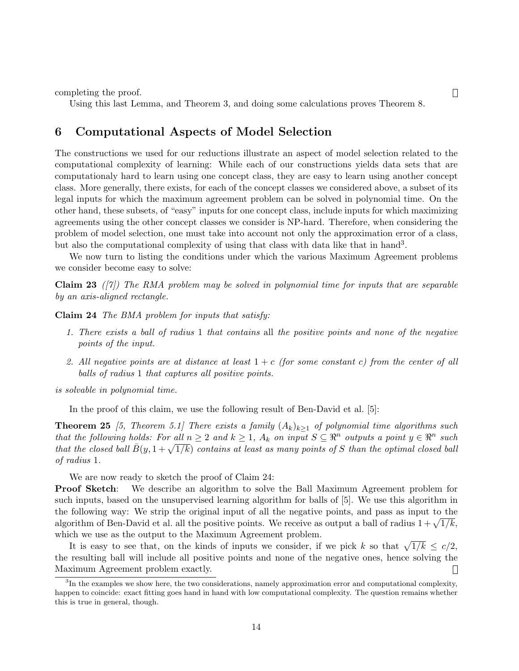completing the proof.

Using this last Lemma, and Theorem 3, and doing some calculations proves Theorem 8.

# 6 Computational Aspects of Model Selection

The constructions we used for our reductions illustrate an aspect of model selection related to the computational complexity of learning: While each of our constructions yields data sets that are computationaly hard to learn using one concept class, they are easy to learn using another concept class. More generally, there exists, for each of the concept classes we considered above, a subset of its legal inputs for which the maximum agreement problem can be solved in polynomial time. On the other hand, these subsets, of "easy" inputs for one concept class, include inputs for which maximizing agreements using the other concept classes we consider is NP-hard. Therefore, when considering the problem of model selection, one must take into account not only the approximation error of a class, but also the computational complexity of using that class with data like that in hand<sup>3</sup>.

We now turn to listing the conditions under which the various Maximum Agreement problems we consider become easy to solve:

**Claim 23** ([7]) The RMA problem may be solved in polynomial time for inputs that are separable by an axis-aligned rectangle.

Claim 24 The BMA problem for inputs that satisfy:

- 1. There exists a ball of radius 1 that contains all the positive points and none of the negative points of the input.
- 2. All negative points are at distance at least  $1+c$  (for some constant c) from the center of all balls of radius 1 that captures all positive points.

is solvable in polynomial time.

In the proof of this claim, we use the following result of Ben-David et al. [5]:

**Theorem 25** [5, Theorem 5.1] There exists a family  $(A_k)_{k>1}$  of polynomial time algorithms such that the following holds: For all  $n \geq 2$  and  $k \geq 1$ ,  $A_k$  on input  $S \subseteq \mathbb{R}^n$  outputs a point  $y \in \mathbb{R}^n$  such that the following holds. For all  $n \geq 2$  and  $k \geq 1$ ,  $A_k$  on tiput  $S \subseteq \mathfrak{n}$  couplets a point  $y \in \mathfrak{n}$  such that the closed ball  $\overline{B}(y, 1 + \sqrt{1/k})$  contains at least as many points of S than the optimal closed b of radius 1.

We are now ready to sketch the proof of Claim 24:

**Proof Sketch:** We describe an algorithm to solve the Ball Maximum Agreement problem for such inputs, based on the unsupervised learning algorithm for balls of [5]. We use this algorithm in the following way: We strip the original input of all the negative points, and pass as input to the algorithm of Ben-David et al. all the positive points. We receive as output a ball of radius  $1 + \sqrt{1/k}$ , which we use as the output to the Maximum Agreement problem.

It is easy to see that, on the kinds of inputs we consider, if we pick k so that  $\sqrt{1/k} \leq c/2$ , the resulting ball will include all positive points and none of the negative ones, hence solving the Maximum Agreement problem exactly.  $\Box$ 

 $\Box$ 

<sup>&</sup>lt;sup>3</sup>In the examples we show here, the two considerations, namely approximation error and computational complexity, happen to coincide: exact fitting goes hand in hand with low computational complexity. The question remains whether this is true in general, though.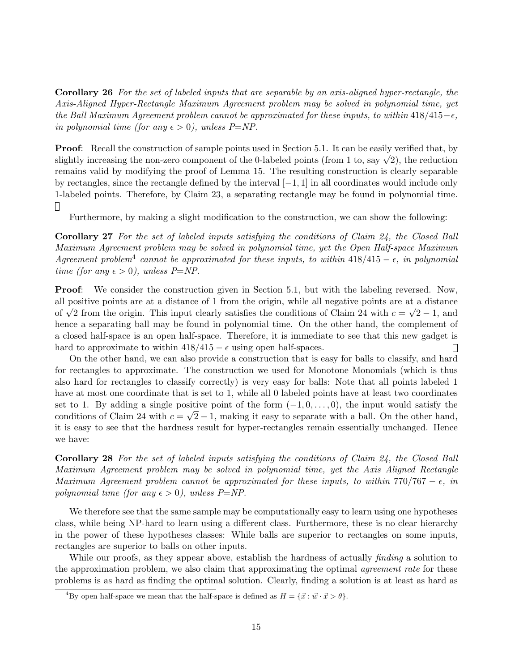Corollary 26 For the set of labeled inputs that are separable by an axis-aligned hyper-rectangle, the Axis-Aligned Hyper-Rectangle Maximum Agreement problem may be solved in polynomial time, yet the Ball Maximum Agreement problem cannot be approximated for these inputs, to within  $418/415-\epsilon$ , in polynomial time (for any  $\epsilon > 0$ ), unless P=NP.

**Proof:** Recall the construction of sample points used in Section 5.1. It can be easily verified that, by **Proof:** Recall the construction of sample points used in Section 3.1. It can be easily verified that, by slightly increasing the non-zero component of the 0-labeled points (from 1 to, say  $\sqrt{2}$ ), the reduction remains valid by modifying the proof of Lemma 15. The resulting construction is clearly separable by rectangles, since the rectangle defined by the interval  $[-1, 1]$  in all coordinates would include only 1-labeled points. Therefore, by Claim 23, a separating rectangle may be found in polynomial time.  $\Box$ 

Furthermore, by making a slight modification to the construction, we can show the following:

Corollary 27 For the set of labeled inputs satisfying the conditions of Claim 24, the Closed Ball Maximum Agreement problem may be solved in polynomial time, yet the Open Half-space Maximum Agreement problem<sup>4</sup> cannot be approximated for these inputs, to within  $418/415 - \epsilon$ , in polynomial time (for any  $\epsilon > 0$ ), unless P=NP.

**Proof:** We consider the construction given in Section 5.1, but with the labeling reversed. Now, all positive points are at a distance of 1 from the origin, while all negative points are at a distance all positive points are at a distance of 1 from the origin, while all negative points are at a distance<br>of  $\sqrt{2}$  from the origin. This input clearly satisfies the conditions of Claim 24 with  $c = \sqrt{2} - 1$ , and hence a separating ball may be found in polynomial time. On the other hand, the complement of a closed half-space is an open half-space. Therefore, it is immediate to see that this new gadget is hard to approximate to within  $418/415 - \epsilon$  using open half-spaces.  $\Box$ 

On the other hand, we can also provide a construction that is easy for balls to classify, and hard for rectangles to approximate. The construction we used for Monotone Monomials (which is thus also hard for rectangles to classify correctly) is very easy for balls: Note that all points labeled 1 have at most one coordinate that is set to 1, while all 0 labeled points have at least two coordinates set to 1. By adding a single positive point of the form  $(-1,0,\ldots,0)$ , the input would satisfy the conditions of Claim 24 with  $c = \sqrt{2} - 1$ , making it easy to separate with a ball. On the other hand, it is easy to see that the hardness result for hyper-rectangles remain essentially unchanged. Hence we have:

Corollary 28 For the set of labeled inputs satisfying the conditions of Claim 24, the Closed Ball Maximum Agreement problem may be solved in polynomial time, yet the Axis Aligned Rectangle Maximum Agreement problem cannot be approximated for these inputs, to within  $770/767 - \epsilon$ , in polynomial time (for any  $\epsilon > 0$ ), unless P=NP.

We therefore see that the same sample may be computationally easy to learn using one hypotheses class, while being NP-hard to learn using a different class. Furthermore, these is no clear hierarchy in the power of these hypotheses classes: While balls are superior to rectangles on some inputs, rectangles are superior to balls on other inputs.

While our proofs, as they appear above, establish the hardness of actually *finding* a solution to the approximation problem, we also claim that approximating the optimal *agreement rate* for these problems is as hard as finding the optimal solution. Clearly, finding a solution is at least as hard as

<sup>&</sup>lt;sup>4</sup>By open half-space we mean that the half-space is defined as  $H = \{ \vec{x} : \vec{w} \cdot \vec{x} > \theta \}.$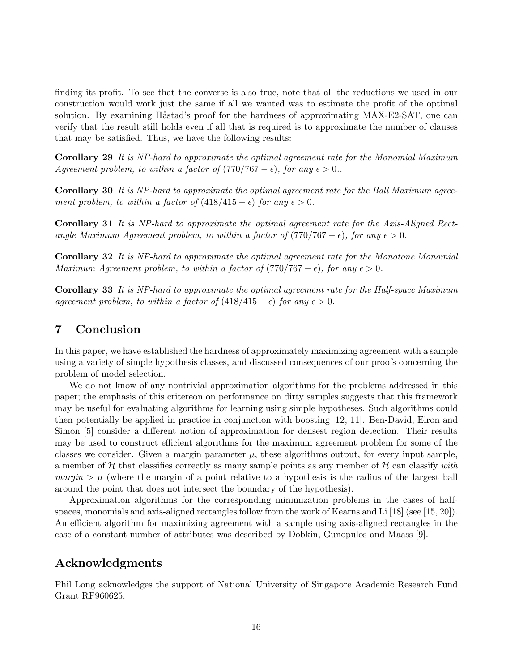finding its profit. To see that the converse is also true, note that all the reductions we used in our construction would work just the same if all we wanted was to estimate the profit of the optimal solution. By examining Håstad's proof for the hardness of approximating MAX-E2-SAT, one can verify that the result still holds even if all that is required is to approximate the number of clauses that may be satisfied. Thus, we have the following results:

Corollary 29 It is NP-hard to approximate the optimal agreement rate for the Monomial Maximum Agreement problem, to within a factor of  $(770/767 - \epsilon)$ , for any  $\epsilon > 0$ .

Corollary 30 It is NP-hard to approximate the optimal agreement rate for the Ball Maximum agreement problem, to within a factor of  $(418/415 - \epsilon)$  for any  $\epsilon > 0$ .

Corollary 31 It is NP-hard to approximate the optimal agreement rate for the Axis-Aligned Rectangle Maximum Agreement problem, to within a factor of  $(770/767 - \epsilon)$ , for any  $\epsilon > 0$ .

Corollary 32 It is NP-hard to approximate the optimal agreement rate for the Monotone Monomial Maximum Agreement problem, to within a factor of  $(770/767 - \epsilon)$ , for any  $\epsilon > 0$ .

Corollary 33 It is NP-hard to approximate the optimal agreement rate for the Half-space Maximum agreement problem, to within a factor of  $(418/415 - \epsilon)$  for any  $\epsilon > 0$ .

# 7 Conclusion

In this paper, we have established the hardness of approximately maximizing agreement with a sample using a variety of simple hypothesis classes, and discussed consequences of our proofs concerning the problem of model selection.

We do not know of any nontrivial approximation algorithms for the problems addressed in this paper; the emphasis of this critereon on performance on dirty samples suggests that this framework may be useful for evaluating algorithms for learning using simple hypotheses. Such algorithms could then potentially be applied in practice in conjunction with boosting [12, 11]. Ben-David, Eiron and Simon [5] consider a different notion of approximation for densest region detection. Their results may be used to construct efficient algorithms for the maximum agreement problem for some of the classes we consider. Given a margin parameter  $\mu$ , these algorithms output, for every input sample, a member of H that classifies correctly as many sample points as any member of H can classify with margin  $\mu$  (where the margin of a point relative to a hypothesis is the radius of the largest ball around the point that does not intersect the boundary of the hypothesis).

Approximation algorithms for the corresponding minimization problems in the cases of halfspaces, monomials and axis-aligned rectangles follow from the work of Kearns and Li [18] (see [15, 20]). An efficient algorithm for maximizing agreement with a sample using axis-aligned rectangles in the case of a constant number of attributes was described by Dobkin, Gunopulos and Maass [9].

### Acknowledgments

Phil Long acknowledges the support of National University of Singapore Academic Research Fund Grant RP960625.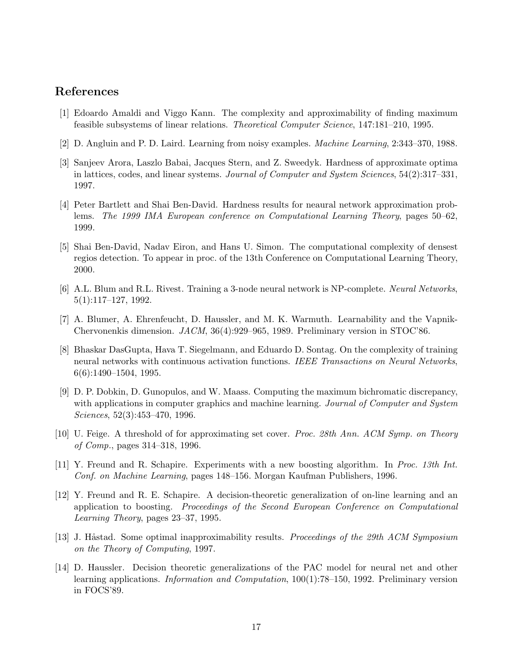# References

- [1] Edoardo Amaldi and Viggo Kann. The complexity and approximability of finding maximum feasible subsystems of linear relations. Theoretical Computer Science, 147:181–210, 1995.
- [2] D. Angluin and P. D. Laird. Learning from noisy examples. Machine Learning, 2:343–370, 1988.
- [3] Sanjeev Arora, Laszlo Babai, Jacques Stern, and Z. Sweedyk. Hardness of approximate optima in lattices, codes, and linear systems. Journal of Computer and System Sciences,  $54(2):317-331$ , 1997.
- [4] Peter Bartlett and Shai Ben-David. Hardness results for neaural network approximation problems. The 1999 IMA European conference on Computational Learning Theory, pages 50–62, 1999.
- [5] Shai Ben-David, Nadav Eiron, and Hans U. Simon. The computational complexity of densest regios detection. To appear in proc. of the 13th Conference on Computational Learning Theory, 2000.
- [6] A.L. Blum and R.L. Rivest. Training a 3-node neural network is NP-complete. Neural Networks, 5(1):117–127, 1992.
- [7] A. Blumer, A. Ehrenfeucht, D. Haussler, and M. K. Warmuth. Learnability and the Vapnik-Chervonenkis dimension. JACM, 36(4):929–965, 1989. Preliminary version in STOC'86.
- [8] Bhaskar DasGupta, Hava T. Siegelmann, and Eduardo D. Sontag. On the complexity of training neural networks with continuous activation functions. IEEE Transactions on Neural Networks, 6(6):1490–1504, 1995.
- [9] D. P. Dobkin, D. Gunopulos, and W. Maass. Computing the maximum bichromatic discrepancy, with applications in computer graphics and machine learning. Journal of Computer and System Sciences, 52(3):453–470, 1996.
- [10] U. Feige. A threshold of for approximating set cover. Proc. 28th Ann. ACM Symp. on Theory of Comp., pages 314–318, 1996.
- [11] Y. Freund and R. Schapire. Experiments with a new boosting algorithm. In Proc. 13th Int. Conf. on Machine Learning, pages 148–156. Morgan Kaufman Publishers, 1996.
- [12] Y. Freund and R. E. Schapire. A decision-theoretic generalization of on-line learning and an application to boosting. Proceedings of the Second European Conference on Computational Learning Theory, pages 23–37, 1995.
- [13] J. Håstad. Some optimal inapproximability results. *Proceedings of the 29th ACM Symposium* on the Theory of Computing, 1997.
- [14] D. Haussler. Decision theoretic generalizations of the PAC model for neural net and other learning applications. Information and Computation, 100(1):78–150, 1992. Preliminary version in FOCS'89.